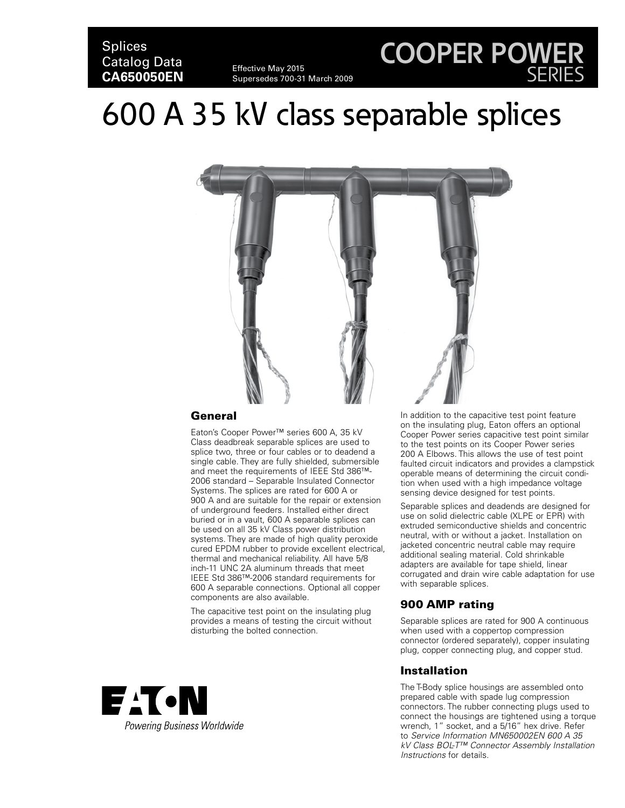### Splices Catalog Data **CA650050EN** Effective May 2015

Supersedes 700-31 March 2009

## **COOPER POWER** SERIES

# 600 A 35 kV class separable splices



#### **General**

Eaton's Cooper Power™ series 600 A, 35 kV Class deadbreak separable splices are used to splice two, three or four cables or to deadend a single cable. They are fully shielded, submersible and meet the requirements of IEEE Std 386™- 2006 standard – Separable Insulated Connector Systems. The splices are rated for 600 A or 900 A and are suitable for the repair or extension of underground feeders. Installed either direct buried or in a vault, 600 A separable splices can be used on all 35 kV Class power distribution systems. They are made of high quality peroxide cured EPDM rubber to provide excellent electrical, thermal and mechanical reliability. All have 5/8 inch-11 UNC 2A aluminum threads that meet IEEE Std 386™-2006 standard requirements for 600 A separable connections. Optional all copper components are also available.

The capacitive test point on the insulating plug provides a means of testing the circuit without disturbing the bolted connection.

In addition to the capacitive test point feature on the insulating plug, Eaton offers an optional Cooper Power series capacitive test point similar to the test points on its Cooper Power series 200 A Elbows. This allows the use of test point faulted circuit indicators and provides a clampstick operable means of determining the circuit condition when used with a high impedance voltage sensing device designed for test points.

Separable splices and deadends are designed for use on solid dielectric cable (XLPE or EPR) with extruded semiconductive shields and concentric neutral, with or without a jacket. Installation on jacketed concentric neutral cable may require additional sealing material. Cold shrinkable adapters are available for tape shield, linear corrugated and drain wire cable adaptation for use with separable splices.

#### 900 AMP rating

Separable splices are rated for 900 A continuous when used with a coppertop compression connector (ordered separately), copper insulating plug, copper connecting plug, and copper stud.

#### Installation

The T-Body splice housings are assembled onto prepared cable with spade lug compression connectors. The rubber connecting plugs used to connect the housings are tightened using a torque wrench, 1" socket, and a 5/16" hex drive. Refer to *Service Information MN650002EN 600 A 35 kV Class BOL-T™ Connector Assembly Installation Instructions* for details.

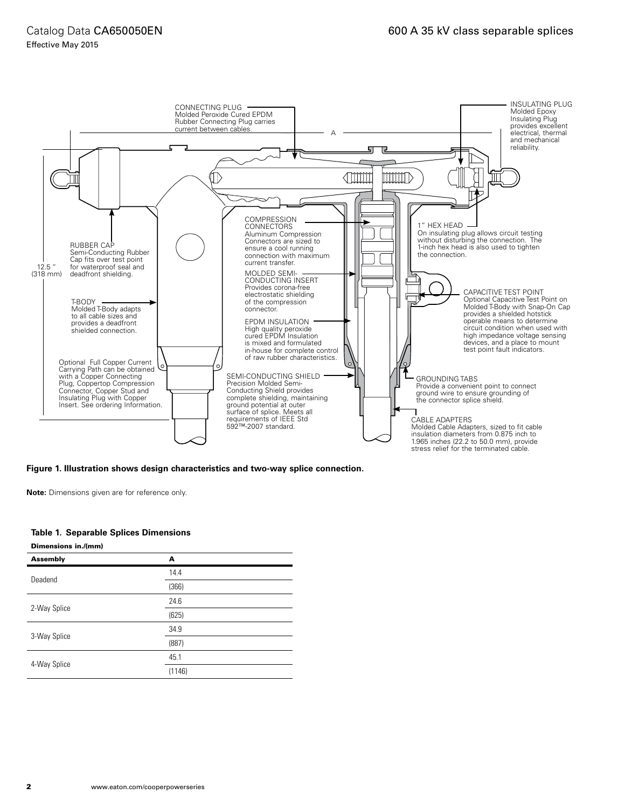

#### **Figure 1. Illustration shows design characteristics and two-way splice connection.**

**Note:** Dimensions given are for reference only.

#### **Table 1. Separable Splices Dimensions**

| Dimensions in./(mm) |        |  |  |  |
|---------------------|--------|--|--|--|
| <b>Assembly</b>     | A      |  |  |  |
| Deadend             | 14.4   |  |  |  |
|                     | (366)  |  |  |  |
| 2-Way Splice        | 24.6   |  |  |  |
|                     | (625)  |  |  |  |
| 3-Way Splice        | 34.9   |  |  |  |
|                     | (887)  |  |  |  |
|                     | 45.1   |  |  |  |
| 4-Way Splice        | (1146) |  |  |  |
|                     |        |  |  |  |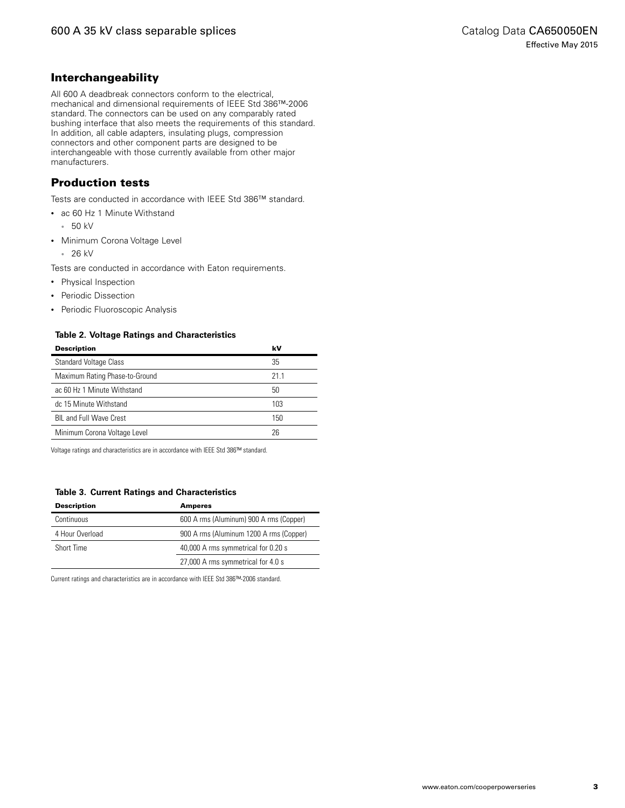#### Interchangeability

All 600 A deadbreak connectors conform to the electrical, mechanical and dimensional requirements of IEEE Std 386™-2006 standard. The connectors can be used on any comparably rated bushing interface that also meets the requirements of this standard. In addition, all cable adapters, insulating plugs, compression connectors and other component parts are designed to be interchangeable with those currently available from other major manufacturers.

#### Production tests

Tests are conducted in accordance with IEEE Std 386™ standard.

- ac 60 Hz 1 Minute Withstand
	- 50 kV
- Minimum Corona Voltage Level
	- 26 kV

Tests are conducted in accordance with Eaton requirements.

- Physical Inspection
- Periodic Dissection
- Periodic Fluoroscopic Analysis

#### **Table 2. Voltage Ratings and Characteristics**

| <b>Description</b>             | kV   |
|--------------------------------|------|
| <b>Standard Voltage Class</b>  | 35   |
| Maximum Rating Phase-to-Ground | 21.1 |
| ac 60 Hz 1 Minute Withstand    | 50   |
| dc 15 Minute Withstand         | 103  |
| <b>BIL and Full Wave Crest</b> | 150  |
| Minimum Corona Voltage Level   | 26   |

Voltage ratings and characteristics are in accordance with IEEE Std 386™ standard.

#### **Table 3. Current Ratings and Characteristics**

| <b>Description</b>                                | <b>Amperes</b>                          |  |
|---------------------------------------------------|-----------------------------------------|--|
| Continuous                                        | 600 A rms (Aluminum) 900 A rms (Copper) |  |
| 4 Hour Overload                                   | 900 A rms (Aluminum 1200 A rms (Copper) |  |
| 40,000 A rms symmetrical for 0.20 s<br>Short Time |                                         |  |
|                                                   | 27,000 A rms symmetrical for 4.0 s      |  |

Current ratings and characteristics are in accordance with IEEE Std 386™-2006 standard.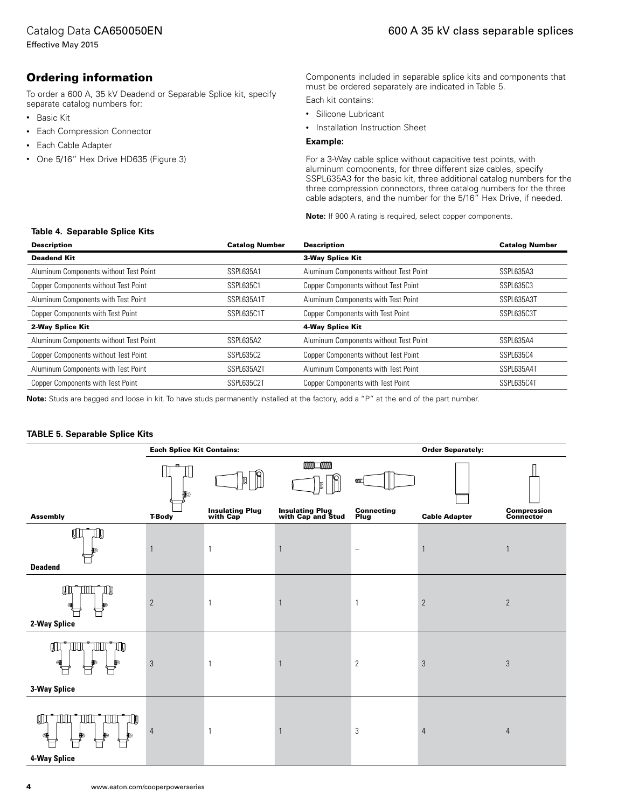#### Ordering information

To order a 600 A, 35 kV Deadend or Separable Splice kit, specify separate catalog numbers for:

- Basic Kit
- Each Compression Connector
- Each Cable Adapter
- One 5/16" Hex Drive HD635 (Figure 3)

Components included in separable splice kits and components that must be ordered separately are indicated in Table 5. Each kit contains:

- Silicone Lubricant
- Installation Instruction Sheet

#### **Example:**

For a 3-Way cable splice without capacitive test points, with aluminum components, for three different size cables, specify SSPL635A3 for the basic kit, three additional catalog numbers for the three compression connectors, three catalog numbers for the three cable adapters, and the number for the 5/16" Hex Drive, if needed.

Note: If 900 A rating is required, select copper components.

#### **Table 4. Separable Splice Kits**

| <b>Description</b>                     | <b>Catalog Number</b> | <b>Description</b>                     | <b>Catalog Number</b> |
|----------------------------------------|-----------------------|----------------------------------------|-----------------------|
| <b>Deadend Kit</b>                     |                       | 3-Way Splice Kit                       |                       |
| Aluminum Components without Test Point | SSPL635A1             | Aluminum Components without Test Point | SSPL635A3             |
| Copper Components without Test Point   | SSPL635C1             | Copper Components without Test Point   | SSPL635C3             |
| Aluminum Components with Test Point    | SSPL635A1T            | Aluminum Components with Test Point    | SSPL635A3T            |
| Copper Components with Test Point      | SSPL635C1T            | Copper Components with Test Point      | SSPL635C3T            |
| 2-Way Splice Kit                       |                       | 4-Way Splice Kit                       |                       |
| Aluminum Components without Test Point | SSPL635A2             | Aluminum Components without Test Point | SSPL635A4             |
| Copper Components without Test Point   | SSPL635C2             | Copper Components without Test Point   | SSPL635C4             |
| Aluminum Components with Test Point    | SSPL635A2T            | Aluminum Components with Test Point    | SSPL635A4T            |
| Copper Components with Test Point      | SSPL635C2T            | Copper Components with Test Point      | SSPL635C4T            |

Note: Studs are bagged and loose in kit. To have studs permanently installed at the factory, add a "P" at the end of the part number.

#### **TABLE 5. Separable Splice Kits**

|                                                 | <b>Each Splice Kit Contains:</b> |                                     |                                              | <b>Order Separately:</b>  |                      |                                 |
|-------------------------------------------------|----------------------------------|-------------------------------------|----------------------------------------------|---------------------------|----------------------|---------------------------------|
|                                                 |                                  |                                     | ℍ                                            | ana                       |                      |                                 |
| <b>Assembly</b>                                 | <b>T-Body</b>                    | <b>Insulating Plug<br/>with Cap</b> | <b>Insulating Plug<br/>with Cap and Stud</b> | <b>Connecting</b><br>Plug | <b>Cable Adapter</b> | <b>Compression</b><br>Connector |
| $\textcolor{red}{\mathbb{I}}$<br><b>Deadend</b> | 1                                | $\mathbf{1}$                        | $\mathbf{1}$                                 | $\overline{\phantom{m}}$  | $\mathbf{1}$         | $\mathbf{1}$                    |
| $\mathbb{I}$<br>◫<br>Ш<br>2-Way Splice          | $\sqrt{2}$                       | $\mathbf{1}$                        | $\mathbf{1}$                                 | $\overline{1}$            | $\sqrt{2}$           | $\mathbf{2}$                    |
| $\mathbb{I}$<br>3-Way Splice                    | $\sqrt{3}$                       | $\mathbf{1}$                        | $\mathbf{1}$                                 | $\overline{2}$            | $\sqrt{3}$           | $\mathfrak{Z}$                  |
| ╥<br>$\mathbb{I}$<br>y<br>4-Way Splice          | $\overline{4}$                   | $\mathbf{1}$                        | $\mathbf{1}$                                 | 3                         | $\overline{4}$       | $\overline{4}$                  |

www.eaton.com/cooperpowerseries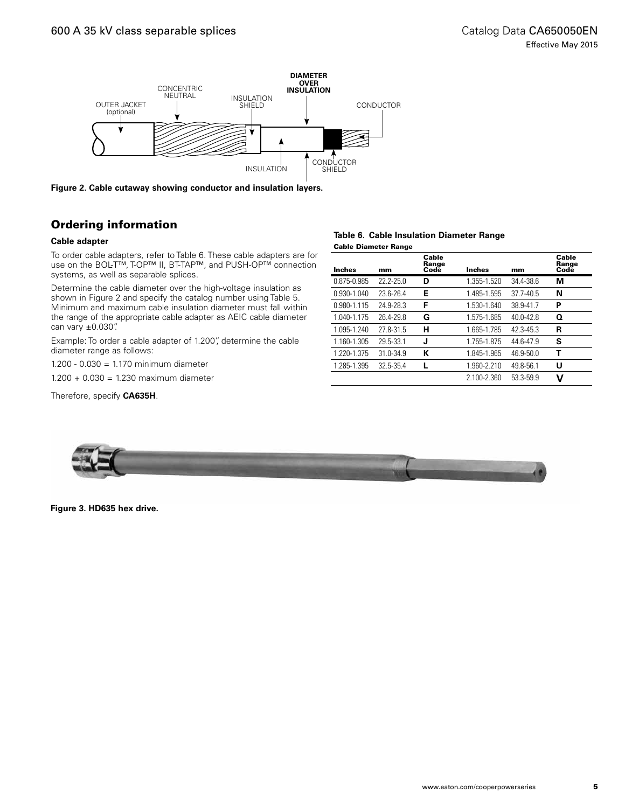

**Figure 2. Cable cutaway showing conductor and insulation layers.**

#### Ordering information

#### **Cable adapter**

To order cable adapters, refer to Table 6. These cable adapters are for use on the BOL-T™, T-OP™ II, BT-TAP™, and PUSH-OP™ connection systems, as well as separable splices.

Determine the cable diameter over the high-voltage insulation as shown in Figure 2 and specify the catalog number using Table 5. Minimum and maximum cable insulation diameter must fall within the range of the appropriate cable adapter as AEIC cable diameter can vary ±0.030".

Example: To order a cable adapter of 1.200", determine the cable diameter range as follows:

1.200 - 0.030 = 1.170 minimum diameter

 $1.200 + 0.030 = 1.230$  maximum diameter

Therefore, specify **CA635H**.

|  |  | Table 6. Cable Insulation Diameter Range |  |  |
|--|--|------------------------------------------|--|--|
|--|--|------------------------------------------|--|--|

Cable Diameter Range

| Inches      | mm            | Cable<br>Range<br>Code | Inches      | mm            | Cable<br>Range<br>Code |
|-------------|---------------|------------------------|-------------|---------------|------------------------|
| 0.875-0.985 | $22.2 - 25.0$ | D                      | 1.355-1.520 | 34.4-38.6     | м                      |
| 0.930-1.040 | $23.6 - 26.4$ | Е                      | 1.485-1.595 | $37.7 - 40.5$ | N                      |
| 0.980-1.115 | 24.9-28.3     | F                      | 1.530-1.640 | 38.9-41.7     | Р                      |
| 1.040-1.175 | 26.4-29.8     | G                      | 1.575-1.685 | 40.0-42.8     | Q                      |
| 1.095-1.240 | 27.8-31.5     | н                      | 1.665-1.785 | $42.3 - 45.3$ | R                      |
| 1.160-1.305 | 29.5-33.1     | J                      | 1.755-1.875 | 44.6-47.9     | s                      |
| 1.220-1.375 | 31.0-34.9     | К                      | 1.845-1.965 | 46.9-50.0     | т                      |
| 1.285-1.395 | 32.5-35.4     | L                      | 1.960-2.210 | 49.8-56.1     | U                      |
|             |               |                        | 2.100-2.360 | 53.3-59.9     | v                      |



**Figure 3. HD635 hex drive.**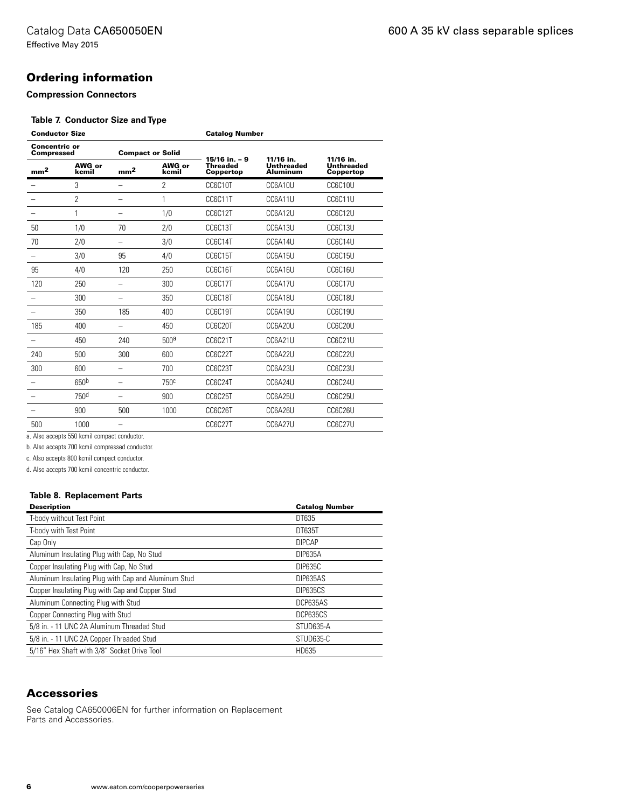#### Ordering information

#### **Compression Connectors**

#### **Table 7. Conductor Size and Type**

|                 | <b>Catalog Number</b><br><b>Conductor Size</b>                       |                          |                        |                                                         |                                            |                                             |  |
|-----------------|----------------------------------------------------------------------|--------------------------|------------------------|---------------------------------------------------------|--------------------------------------------|---------------------------------------------|--|
|                 | <b>Concentric or</b><br><b>Compact or Solid</b><br><b>Compressed</b> |                          |                        |                                                         |                                            |                                             |  |
| mm <sup>2</sup> | <b>AWG or</b><br>kcmil                                               | mm <sup>2</sup>          | <b>AWG or</b><br>kcmil | $15/16$ in. $-9$<br><b>Threaded</b><br><b>Coppertop</b> | 11/16 in.<br><b>Unthreaded</b><br>Aluminum | 11/16 in.<br><b>Unthreaded</b><br>Coppertop |  |
|                 | 3                                                                    | -                        | 2                      | CC6C10T                                                 | CC6A10U                                    | CC6C10U                                     |  |
|                 | $\overline{2}$                                                       | -                        | 1                      | CC6C11T                                                 | CC6A11U                                    | CC6C11U                                     |  |
|                 | 1                                                                    | $\overline{\phantom{0}}$ | 1/0                    | CC6C12T                                                 | CC6A12U                                    | CC6C12U                                     |  |
| 50              | 1/0                                                                  | 70                       | 2/0                    | CC6C13T                                                 | CC6A13U                                    | CC6C13U                                     |  |
| 70              | 2/0                                                                  | -                        | 3/0                    | CC6C14T                                                 | CC6A14U                                    | CC6C14U                                     |  |
|                 | 3/0                                                                  | 95                       | 4/0                    | CC6C15T                                                 | CC6A15U                                    | CC6C15U                                     |  |
| 95              | 4/0                                                                  | 120                      | 250                    | CC6C16T                                                 | CC6A16U                                    | CC6C16U                                     |  |
| 120             | 250                                                                  |                          | 300                    | CC6C17T                                                 | CC6A17U                                    | CC6C17U                                     |  |
|                 | 300                                                                  | -                        | 350                    | CC6C18T                                                 | CC6A18U                                    | CC6C18U                                     |  |
|                 | 350                                                                  | 185                      | 400                    | CC6C19T                                                 | CC6A19U                                    | CC6C19U                                     |  |
| 185             | 400                                                                  |                          | 450                    | CC6C20T                                                 | CC6A20U                                    | CC6C20U                                     |  |
|                 | 450                                                                  | 240                      | 500 <sup>a</sup>       | CC6C21T                                                 | CC6A21U                                    | CC6C21U                                     |  |
| 240             | 500                                                                  | 300                      | 600                    | CC6C22T                                                 | CC6A22U                                    | CC6C22U                                     |  |
| 300             | 600                                                                  |                          | 700                    | CC6C23T                                                 | CC6A23U                                    | CC6C23U                                     |  |
|                 | 650 <sup>b</sup>                                                     | -                        | 750 <sup>c</sup>       | CC6C24T                                                 | CC6A24U                                    | CC6C24U                                     |  |
|                 | 750 <sup>d</sup>                                                     | $\overline{\phantom{0}}$ | 900                    | CC6C25T                                                 | CC6A25U                                    | CC6C25U                                     |  |
|                 | 900                                                                  | 500                      | 1000                   | CC6C26T                                                 | CC6A26U                                    | CC6C26U                                     |  |
| 500             | 1000                                                                 |                          |                        | CC6C27T                                                 | CC6A27U                                    | CC6C27U                                     |  |

b. Also accepts 700 kcmil compressed conductor.

c. Also accepts 800 kcmil compact conductor.

d. Also accepts 700 kcmil concentric conductor.

#### **Table 8. Replacement Parts**

| <b>Description</b>                                  | <b>Catalog Number</b> |
|-----------------------------------------------------|-----------------------|
| T-body without Test Point                           | DT635                 |
| T-body with Test Point                              | DT635T                |
| Cap Only                                            | <b>DIPCAP</b>         |
| Aluminum Insulating Plug with Cap, No Stud          | DIP635A               |
| Copper Insulating Plug with Cap, No Stud            | DIP635C               |
| Aluminum Insulating Plug with Cap and Aluminum Stud | DIP635AS              |
| Copper Insulating Plug with Cap and Copper Stud     | DIP635CS              |
| Aluminum Connecting Plug with Stud                  | DCP635AS              |
| Copper Connecting Plug with Stud                    | DCP635CS              |
| 5/8 in. - 11 UNC 2A Aluminum Threaded Stud          | STUD635-A             |
| 5/8 in. - 11 UNC 2A Copper Threaded Stud            | STUD635-C             |
| 5/16" Hex Shaft with 3/8" Socket Drive Tool         | HD635                 |

#### Accessories

See Catalog CA650006EN for further information on Replacement Parts and Accessories.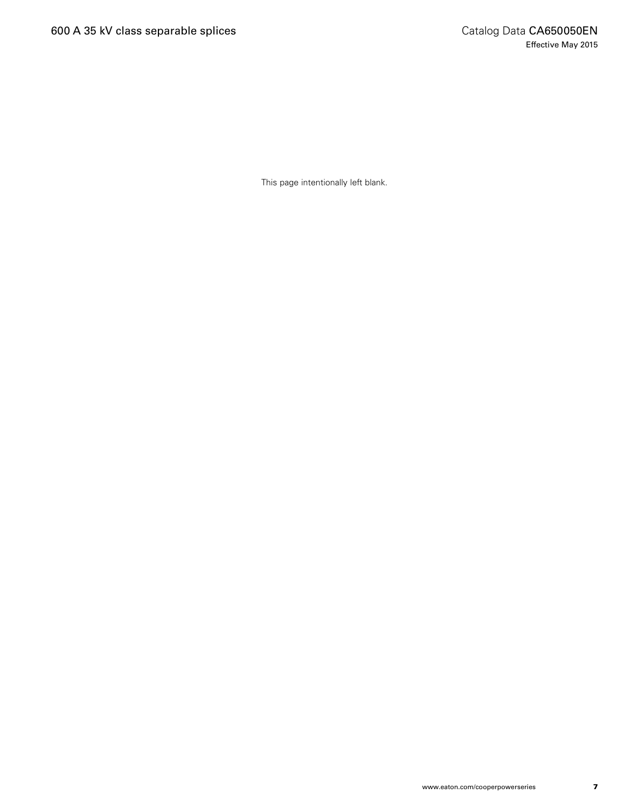This page intentionally left blank.